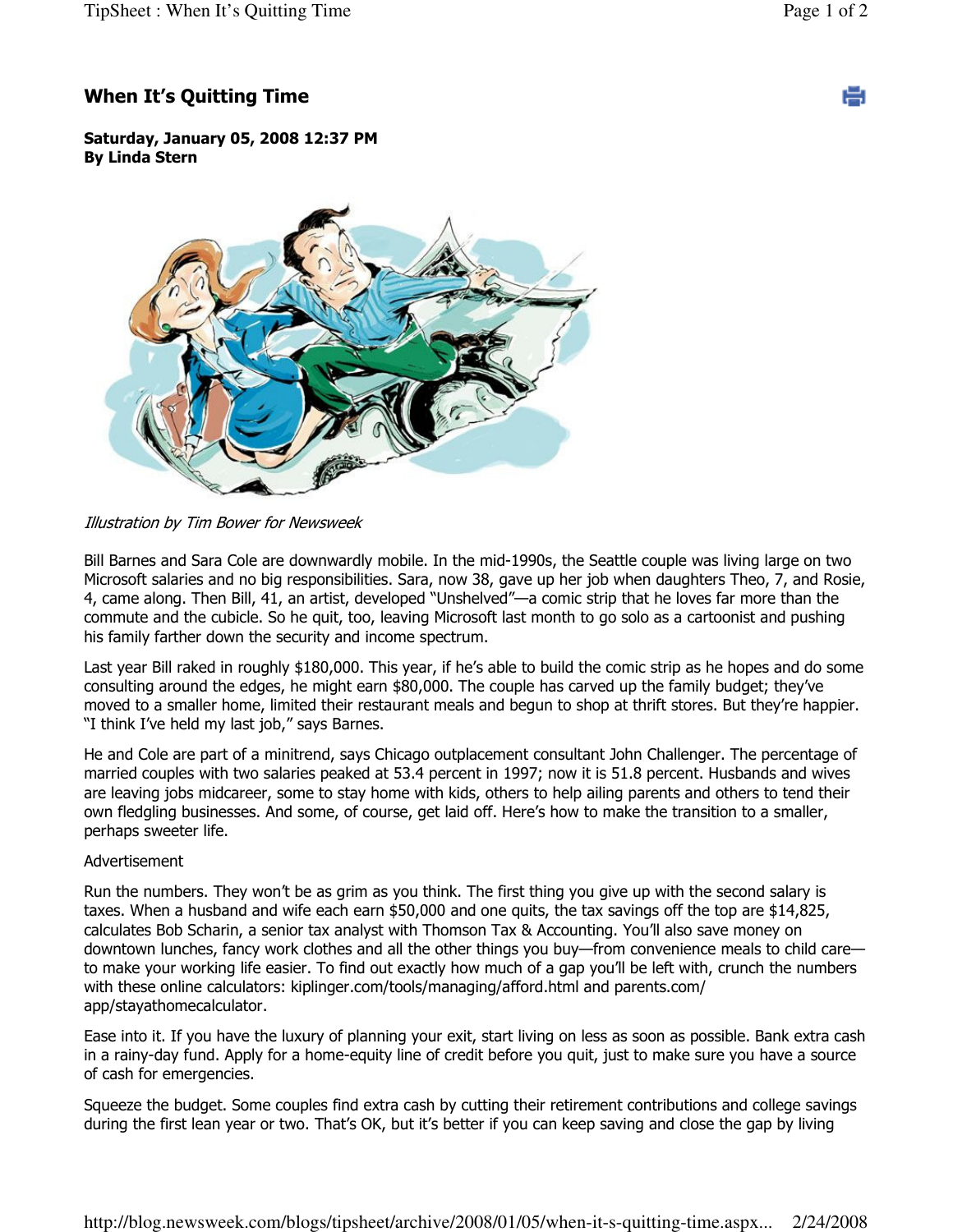e

## When It's Quitting Time

Saturday, January 05, 2008 12:37 PM By Linda Stern



Illustration by Tim Bower for Newsweek

Bill Barnes and Sara Cole are downwardly mobile. In the mid-1990s, the Seattle couple was living large on two Microsoft salaries and no big responsibilities. Sara, now 38, gave up her job when daughters Theo, 7, and Rosie, 4, came along. Then Bill, 41, an artist, developed "Unshelved"—a comic strip that he loves far more than the commute and the cubicle. So he quit, too, leaving Microsoft last month to go solo as a cartoonist and pushing his family farther down the security and income spectrum.

Last year Bill raked in roughly \$180,000. This year, if he's able to build the comic strip as he hopes and do some consulting around the edges, he might earn \$80,000. The couple has carved up the family budget; they've moved to a smaller home, limited their restaurant meals and begun to shop at thrift stores. But they're happier. "I think I've held my last job," says Barnes.

He and Cole are part of a minitrend, says Chicago outplacement consultant John Challenger. The percentage of married couples with two salaries peaked at 53.4 percent in 1997; now it is 51.8 percent. Husbands and wives are leaving jobs midcareer, some to stay home with kids, others to help ailing parents and others to tend their own fledgling businesses. And some, of course, get laid off. Here's how to make the transition to a smaller, perhaps sweeter life.

## Advertisement

Run the numbers. They won't be as grim as you think. The first thing you give up with the second salary is taxes. When a husband and wife each earn \$50,000 and one quits, the tax savings off the top are \$14,825, calculates Bob Scharin, a senior tax analyst with Thomson Tax & Accounting. You'll also save money on downtown lunches, fancy work clothes and all the other things you buy—from convenience meals to child care to make your working life easier. To find out exactly how much of a gap you'll be left with, crunch the numbers with these online calculators: kiplinger.com/tools/managing/afford.html and parents.com/ app/stayathomecalculator.

Ease into it. If you have the luxury of planning your exit, start living on less as soon as possible. Bank extra cash in a rainy-day fund. Apply for a home-equity line of credit before you quit, just to make sure you have a source of cash for emergencies.

Squeeze the budget. Some couples find extra cash by cutting their retirement contributions and college savings during the first lean year or two. That's OK, but it's better if you can keep saving and close the gap by living